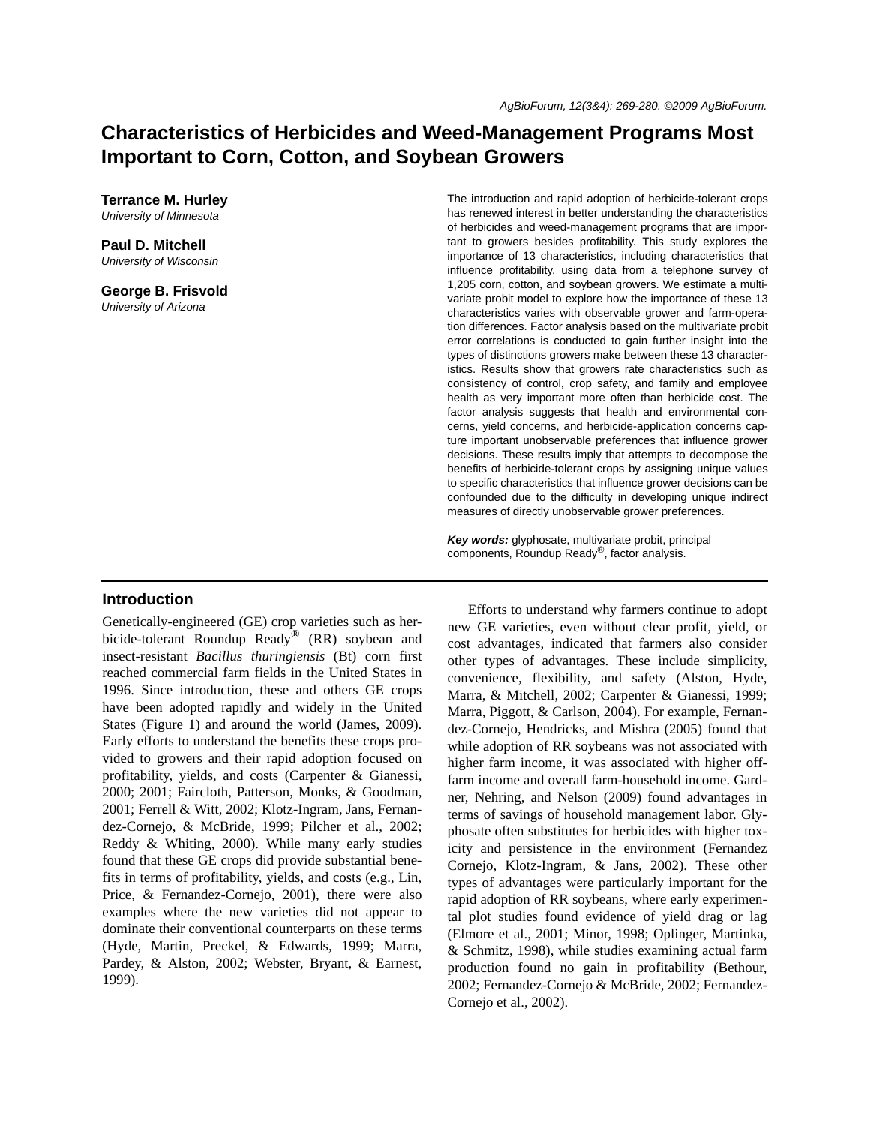# **Characteristics of Herbicides and Weed-Management Programs Most Important to Corn, Cotton, and Soybean Growers**

**Terrance M. Hurley** *University of Minnesota*

**Paul D. Mitchell** *University of Wisconsin*

**George B. Frisvold** *University of Arizona*

The introduction and rapid adoption of herbicide-tolerant crops has renewed interest in better understanding the characteristics of herbicides and weed-management programs that are important to growers besides profitability. This study explores the importance of 13 characteristics, including characteristics that influence profitability, using data from a telephone survey of 1,205 corn, cotton, and soybean growers. We estimate a multivariate probit model to explore how the importance of these 13 characteristics varies with observable grower and farm-operation differences. Factor analysis based on the multivariate probit error correlations is conducted to gain further insight into the types of distinctions growers make between these 13 characteristics. Results show that growers rate characteristics such as consistency of control, crop safety, and family and employee health as very important more often than herbicide cost. The factor analysis suggests that health and environmental concerns, yield concerns, and herbicide-application concerns capture important unobservable preferences that influence grower decisions. These results imply that attempts to decompose the benefits of herbicide-tolerant crops by assigning unique values to specific characteristics that influence grower decisions can be confounded due to the difficulty in developing unique indirect measures of directly unobservable grower preferences.

*Key words:* glyphosate, multivariate probit, principal components, Roundup Ready®, factor analysis.

#### **Introduction**

Genetically-engineered (GE) crop varieties such as herbicide-tolerant Roundup Ready<sup>®</sup> (RR) soybean and insect-resistant *Bacillus thuringiensis* (Bt) corn first reached commercial farm fields in the United States in 1996. Since introduction, these and others GE crops have been adopted rapidly and widely in the United States (Figure 1) and around the world (James, 2009). Early efforts to understand the benefits these crops provided to growers and their rapid adoption focused on profitability, yields, and costs (Carpenter & Gianessi, 2000; 2001; Faircloth, Patterson, Monks, & Goodman, 2001; Ferrell & Witt, 2002; Klotz-Ingram, Jans, Fernandez-Cornejo, & McBride, 1999; Pilcher et al., 2002; Reddy & Whiting, 2000). While many early studies found that these GE crops did provide substantial benefits in terms of profitability, yields, and costs (e.g., Lin, Price, & Fernandez-Cornejo, 2001), there were also examples where the new varieties did not appear to dominate their conventional counterparts on these terms (Hyde, Martin, Preckel, & Edwards, 1999; Marra, Pardey, & Alston, 2002; Webster, Bryant, & Earnest, 1999).

Efforts to understand why farmers continue to adopt new GE varieties, even without clear profit, yield, or cost advantages, indicated that farmers also consider other types of advantages. These include simplicity, convenience, flexibility, and safety (Alston, Hyde, Marra, & Mitchell, 2002; Carpenter & Gianessi, 1999; Marra, Piggott, & Carlson, 2004). For example, Fernandez-Cornejo, Hendricks, and Mishra (2005) found that while adoption of RR soybeans was not associated with higher farm income, it was associated with higher offfarm income and overall farm-household income. Gardner, Nehring, and Nelson (2009) found advantages in terms of savings of household management labor. Glyphosate often substitutes for herbicides with higher toxicity and persistence in the environment (Fernandez Cornejo, Klotz-Ingram, & Jans, 2002). These other types of advantages were particularly important for the rapid adoption of RR soybeans, where early experimental plot studies found evidence of yield drag or lag (Elmore et al., 2001; Minor, 1998; Oplinger, Martinka, & Schmitz, 1998), while studies examining actual farm production found no gain in profitability (Bethour, 2002; Fernandez-Cornejo & McBride, 2002; Fernandez-Cornejo et al., 2002).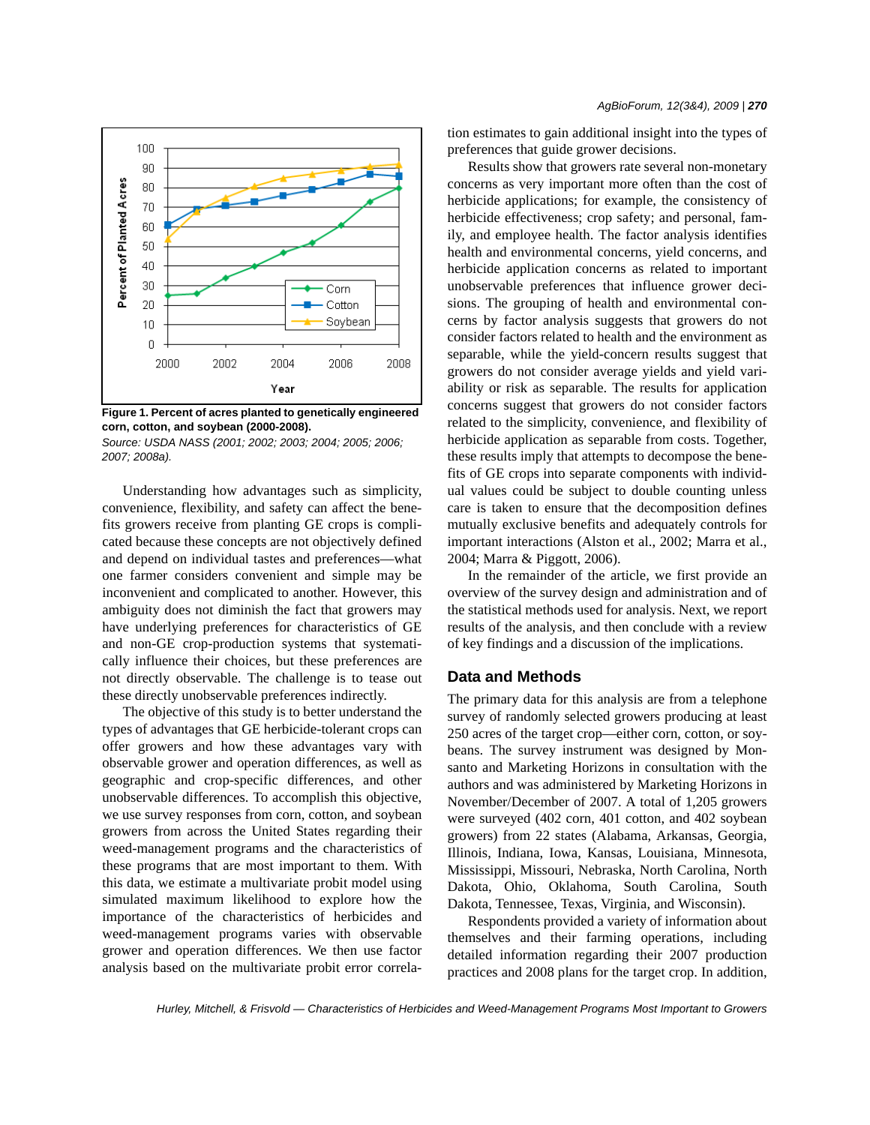

**Figure 1. Percent of acres planted to genetically engineered corn, cotton, and soybean (2000-2008).**

*Source: USDA NASS (2001; 2002; 2003; 2004; 2005; 2006; 2007; 2008a).*

Understanding how advantages such as simplicity, convenience, flexibility, and safety can affect the benefits growers receive from planting GE crops is complicated because these concepts are not objectively defined and depend on individual tastes and preferences—what one farmer considers convenient and simple may be inconvenient and complicated to another. However, this ambiguity does not diminish the fact that growers may have underlying preferences for characteristics of GE and non-GE crop-production systems that systematically influence their choices, but these preferences are not directly observable. The challenge is to tease out these directly unobservable preferences indirectly.

The objective of this study is to better understand the types of advantages that GE herbicide-tolerant crops can offer growers and how these advantages vary with observable grower and operation differences, as well as geographic and crop-specific differences, and other unobservable differences. To accomplish this objective, we use survey responses from corn, cotton, and soybean growers from across the United States regarding their weed-management programs and the characteristics of these programs that are most important to them. With this data, we estimate a multivariate probit model using simulated maximum likelihood to explore how the importance of the characteristics of herbicides and weed-management programs varies with observable grower and operation differences. We then use factor analysis based on the multivariate probit error correlation estimates to gain additional insight into the types of preferences that guide grower decisions.

Results show that growers rate several non-monetary concerns as very important more often than the cost of herbicide applications; for example, the consistency of herbicide effectiveness; crop safety; and personal, family, and employee health. The factor analysis identifies health and environmental concerns, yield concerns, and herbicide application concerns as related to important unobservable preferences that influence grower decisions. The grouping of health and environmental concerns by factor analysis suggests that growers do not consider factors related to health and the environment as separable, while the yield-concern results suggest that growers do not consider average yields and yield variability or risk as separable. The results for application concerns suggest that growers do not consider factors related to the simplicity, convenience, and flexibility of herbicide application as separable from costs. Together, these results imply that attempts to decompose the benefits of GE crops into separate components with individual values could be subject to double counting unless care is taken to ensure that the decomposition defines mutually exclusive benefits and adequately controls for important interactions (Alston et al., 2002; Marra et al., 2004; Marra & Piggott, 2006).

In the remainder of the article, we first provide an overview of the survey design and administration and of the statistical methods used for analysis. Next, we report results of the analysis, and then conclude with a review of key findings and a discussion of the implications.

### **Data and Methods**

The primary data for this analysis are from a telephone survey of randomly selected growers producing at least 250 acres of the target crop—either corn, cotton, or soybeans. The survey instrument was designed by Monsanto and Marketing Horizons in consultation with the authors and was administered by Marketing Horizons in November/December of 2007. A total of 1,205 growers were surveyed (402 corn, 401 cotton, and 402 soybean growers) from 22 states (Alabama, Arkansas, Georgia, Illinois, Indiana, Iowa, Kansas, Louisiana, Minnesota, Mississippi, Missouri, Nebraska, North Carolina, North Dakota, Ohio, Oklahoma, South Carolina, South Dakota, Tennessee, Texas, Virginia, and Wisconsin).

Respondents provided a variety of information about themselves and their farming operations, including detailed information regarding their 2007 production practices and 2008 plans for the target crop. In addition,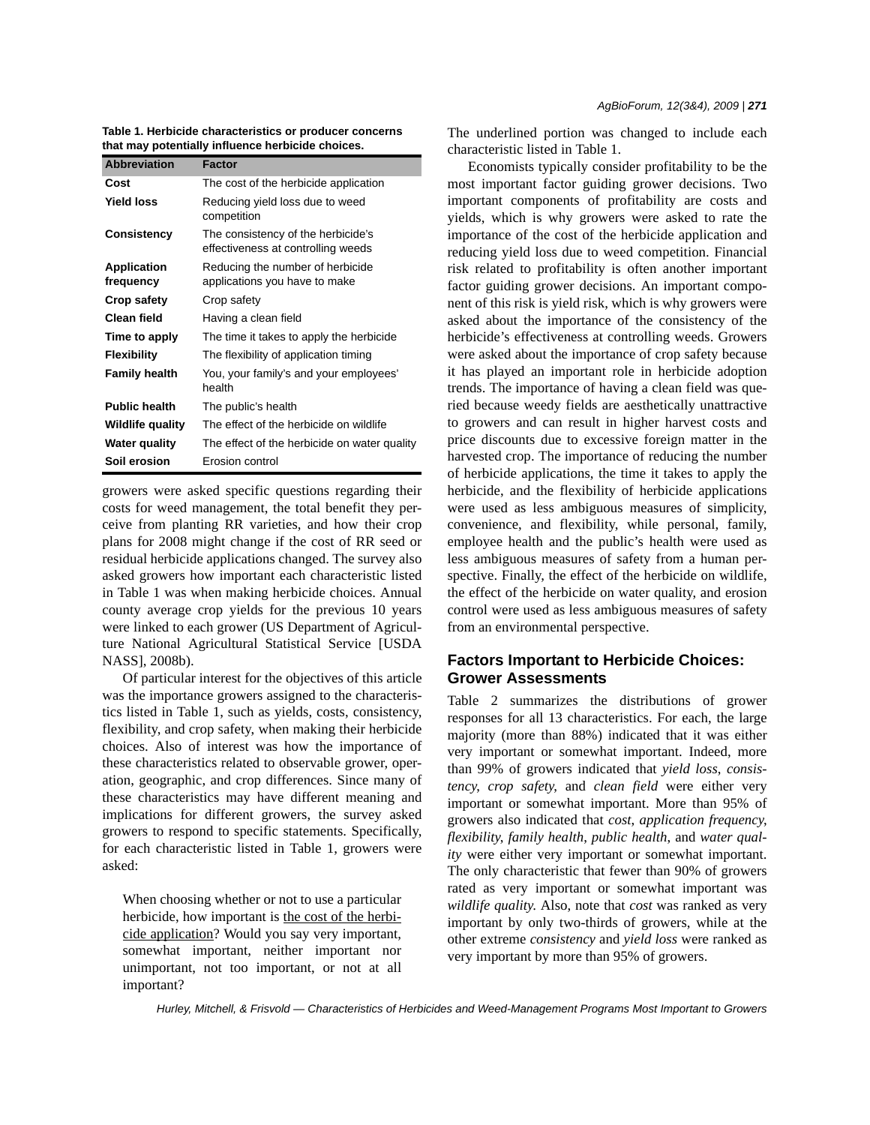*AgBioForum, 12(3&4), 2009 | 271*

**Table 1. Herbicide characteristics or producer concerns that may potentially influence herbicide choices.**

| <b>Abbreviation</b>             | <b>Factor</b>                                                            |
|---------------------------------|--------------------------------------------------------------------------|
| Cost                            | The cost of the herbicide application                                    |
| <b>Yield loss</b>               | Reducing yield loss due to weed<br>competition                           |
| Consistency                     | The consistency of the herbicide's<br>effectiveness at controlling weeds |
| <b>Application</b><br>frequency | Reducing the number of herbicide<br>applications you have to make        |
| Crop safety                     | Crop safety                                                              |
| Clean field                     | Having a clean field                                                     |
| Time to apply                   | The time it takes to apply the herbicide                                 |
| <b>Flexibility</b>              | The flexibility of application timing                                    |
| <b>Family health</b>            | You, your family's and your employees'<br>health                         |
| <b>Public health</b>            | The public's health                                                      |
| <b>Wildlife quality</b>         | The effect of the herbicide on wildlife                                  |
| <b>Water quality</b>            | The effect of the herbicide on water quality                             |
| Soil erosion                    | Frosion control                                                          |

growers were asked specific questions regarding their costs for weed management, the total benefit they perceive from planting RR varieties, and how their crop plans for 2008 might change if the cost of RR seed or residual herbicide applications changed. The survey also asked growers how important each characteristic listed in Table 1 was when making herbicide choices. Annual county average crop yields for the previous 10 years were linked to each grower (US Department of Agriculture National Agricultural Statistical Service [USDA NASS], 2008b).

Of particular interest for the objectives of this article was the importance growers assigned to the characteristics listed in Table 1, such as yields, costs, consistency, flexibility, and crop safety, when making their herbicide choices. Also of interest was how the importance of these characteristics related to observable grower, operation, geographic, and crop differences. Since many of these characteristics may have different meaning and implications for different growers, the survey asked growers to respond to specific statements. Specifically, for each characteristic listed in Table 1, growers were asked:

When choosing whether or not to use a particular herbicide, how important is the cost of the herbicide application? Would you say very important, somewhat important, neither important nor unimportant, not too important, or not at all important?

The underlined portion was changed to include each characteristic listed in Table 1.

Economists typically consider profitability to be the most important factor guiding grower decisions. Two important components of profitability are costs and yields, which is why growers were asked to rate the importance of the cost of the herbicide application and reducing yield loss due to weed competition. Financial risk related to profitability is often another important factor guiding grower decisions. An important component of this risk is yield risk, which is why growers were asked about the importance of the consistency of the herbicide's effectiveness at controlling weeds. Growers were asked about the importance of crop safety because it has played an important role in herbicide adoption trends. The importance of having a clean field was queried because weedy fields are aesthetically unattractive to growers and can result in higher harvest costs and price discounts due to excessive foreign matter in the harvested crop. The importance of reducing the number of herbicide applications, the time it takes to apply the herbicide, and the flexibility of herbicide applications were used as less ambiguous measures of simplicity, convenience, and flexibility, while personal, family, employee health and the public's health were used as less ambiguous measures of safety from a human perspective. Finally, the effect of the herbicide on wildlife, the effect of the herbicide on water quality, and erosion control were used as less ambiguous measures of safety from an environmental perspective.

# **Factors Important to Herbicide Choices: Grower Assessments**

Table 2 summarizes the distributions of grower responses for all 13 characteristics. For each, the large majority (more than 88%) indicated that it was either very important or somewhat important. Indeed, more than 99% of growers indicated that *yield loss*, *consistency*, *crop safety*, and *clean field* were either very important or somewhat important. More than 95% of growers also indicated that *cost*, *application frequency*, *flexibility*, *family health*, *public health*, and *water quality* were either very important or somewhat important. The only characteristic that fewer than 90% of growers rated as very important or somewhat important was *wildlife quality*. Also, note that *cost* was ranked as very important by only two-thirds of growers, while at the other extreme *consistency* and *yield loss* were ranked as very important by more than 95% of growers.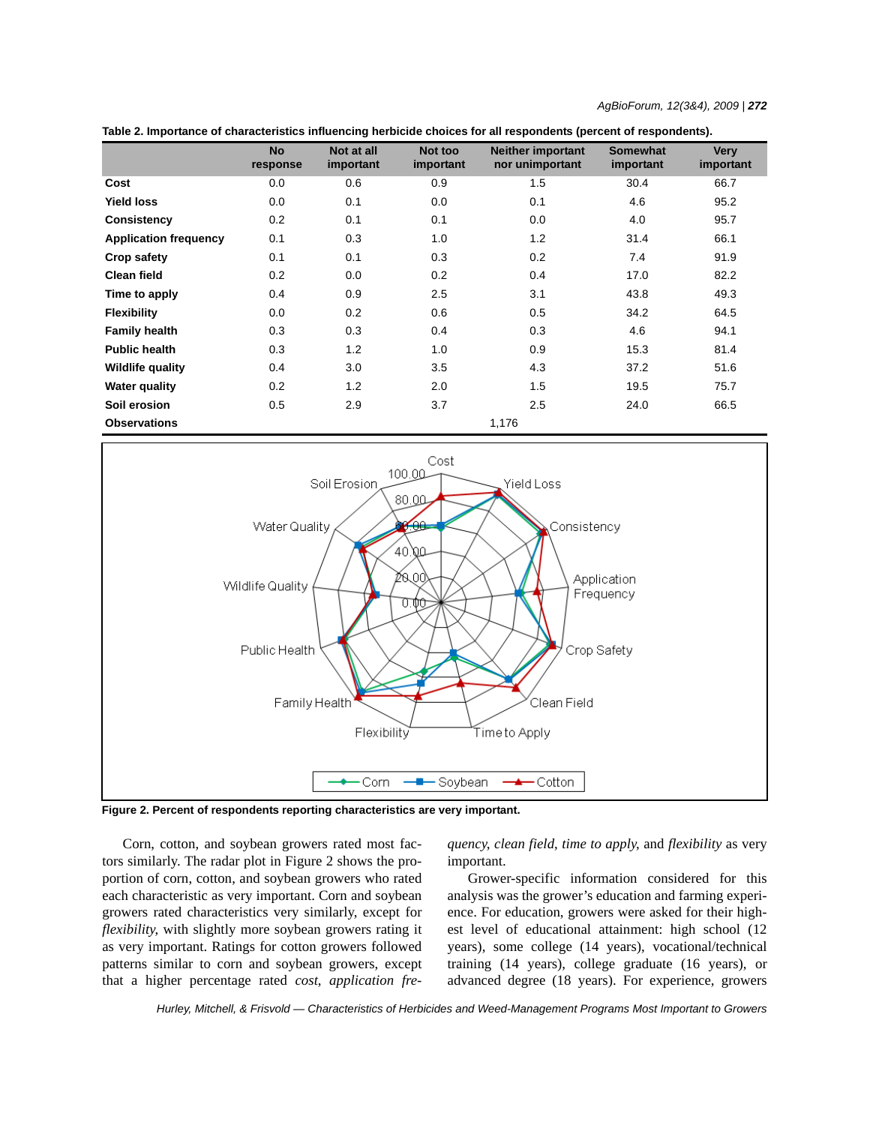| AgBioForum, 12(3&4), 2009   <b>272</b> |  |  |  |
|----------------------------------------|--|--|--|
|----------------------------------------|--|--|--|

| Table 2. Importance of characteristics influencing herbicide choices for all respondents (percent of respondents). |
|--------------------------------------------------------------------------------------------------------------------|
|--------------------------------------------------------------------------------------------------------------------|

|                              | <b>No</b> | Not at all | Not too   | <b>Neither important</b> | <b>Somewhat</b> | <b>Very</b> |
|------------------------------|-----------|------------|-----------|--------------------------|-----------------|-------------|
|                              | response  | important  | important | nor unimportant          | important       | important   |
| Cost                         | 0.0       | 0.6        | 0.9       | 1.5                      | 30.4            | 66.7        |
| <b>Yield loss</b>            | 0.0       | 0.1        | 0.0       | 0.1                      | 4.6             | 95.2        |
| Consistency                  | 0.2       | 0.1        | 0.1       | 0.0                      | 4.0             | 95.7        |
| <b>Application frequency</b> | 0.1       | 0.3        | 1.0       | 1.2                      | 31.4            | 66.1        |
| Crop safety                  | 0.1       | 0.1        | 0.3       | 0.2                      | 7.4             | 91.9        |
| <b>Clean field</b>           | 0.2       | 0.0        | 0.2       | 0.4                      | 17.0            | 82.2        |
| Time to apply                | 0.4       | 0.9        | 2.5       | 3.1                      | 43.8            | 49.3        |
| <b>Flexibility</b>           | 0.0       | 0.2        | 0.6       | 0.5                      | 34.2            | 64.5        |
| <b>Family health</b>         | 0.3       | 0.3        | 0.4       | 0.3                      | 4.6             | 94.1        |
| <b>Public health</b>         | 0.3       | 1.2        | 1.0       | 0.9                      | 15.3            | 81.4        |
| <b>Wildlife quality</b>      | 0.4       | 3.0        | 3.5       | 4.3                      | 37.2            | 51.6        |
| <b>Water quality</b>         | 0.2       | 1.2        | 2.0       | 1.5                      | 19.5            | 75.7        |
| Soil erosion                 | 0.5       | 2.9        | 3.7       | 2.5                      | 24.0            | 66.5        |
| <b>Observations</b>          |           |            |           | 1,176                    |                 |             |



**Figure 2. Percent of respondents reporting characteristics are very important.**

Corn, cotton, and soybean growers rated most factors similarly. The radar plot in Figure 2 shows the proportion of corn, cotton, and soybean growers who rated each characteristic as very important. Corn and soybean growers rated characteristics very similarly, except for *flexibility*, with slightly more soybean growers rating it as very important. Ratings for cotton growers followed patterns similar to corn and soybean growers, except that a higher percentage rated *cost*, *application fre-* *quency*, *clean field*, *time to apply*, and *flexibility* as very important.

Grower-specific information considered for this analysis was the grower's education and farming experience. For education, growers were asked for their highest level of educational attainment: high school (12 years), some college (14 years), vocational/technical training (14 years), college graduate (16 years), or advanced degree (18 years). For experience, growers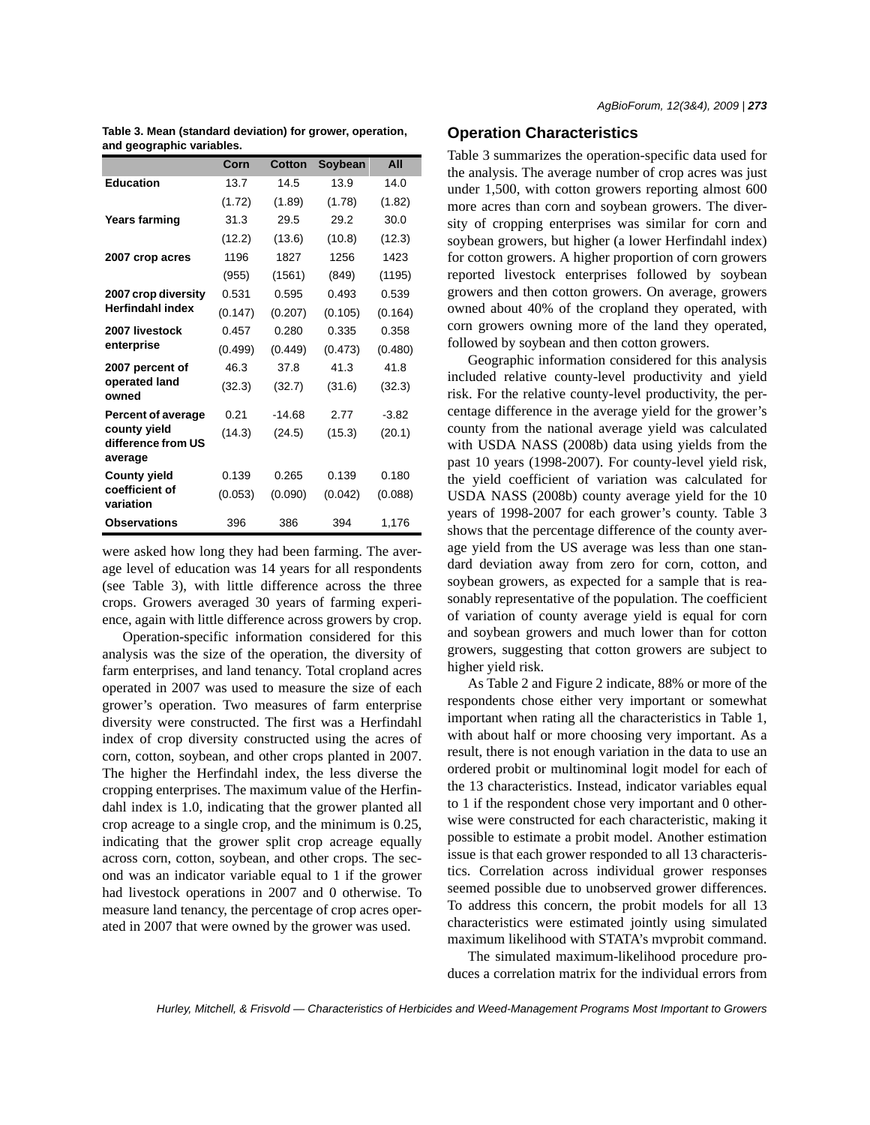|                                               | Corn    | Cotton   | Soybean | All     |
|-----------------------------------------------|---------|----------|---------|---------|
| <b>Education</b>                              | 13.7    | 14.5     | 13.9    | 14.0    |
|                                               | (1.72)  | (1.89)   | (1.78)  | (1.82)  |
| Years farming                                 | 31.3    | 29.5     | 29.2    | 30.0    |
|                                               | (12.2)  | (13.6)   | (10.8)  | (12.3)  |
| 2007 crop acres                               | 1196    | 1827     | 1256    | 1423    |
|                                               | (955)   | (1561)   | (849)   | (1195)  |
| 2007 crop diversity                           | 0.531   | 0.595    | 0.493   | 0.539   |
| <b>Herfindahl index</b>                       | (0.147) | (0.207)  | (0.105) | (0.164) |
| 2007 livestock                                | 0.457   | 0.280    | 0.335   | 0.358   |
| enterprise                                    | (0.499) | (0.449)  | (0.473) | (0.480) |
| 2007 percent of                               | 46.3    | 37.8     | 41.3    | 41.8    |
| operated land<br>owned                        | (32.3)  | (32.7)   | (31.6)  | (32.3)  |
| <b>Percent of average</b>                     | 0.21    | $-14.68$ | 2.77    | $-3.82$ |
| county yield<br>difference from US<br>average | (14.3)  | (24.5)   | (15.3)  | (20.1)  |
| <b>County yield</b>                           | 0.139   | 0.265    | 0.139   | 0.180   |
| coefficient of<br>variation                   | (0.053) | (0.090)  | (0.042) | (0.088) |
| <b>Observations</b>                           | 396     | 386      | 394     | 1,176   |

**Table 3. Mean (standard deviation) for grower, operation, and geographic variables.**

were asked how long they had been farming. The average level of education was 14 years for all respondents (see Table 3), with little difference across the three crops. Growers averaged 30 years of farming experience, again with little difference across growers by crop.

Operation-specific information considered for this analysis was the size of the operation, the diversity of farm enterprises, and land tenancy. Total cropland acres operated in 2007 was used to measure the size of each grower's operation. Two measures of farm enterprise diversity were constructed. The first was a Herfindahl index of crop diversity constructed using the acres of corn, cotton, soybean, and other crops planted in 2007. The higher the Herfindahl index, the less diverse the cropping enterprises. The maximum value of the Herfindahl index is 1.0, indicating that the grower planted all crop acreage to a single crop, and the minimum is 0.25, indicating that the grower split crop acreage equally across corn, cotton, soybean, and other crops. The second was an indicator variable equal to 1 if the grower had livestock operations in 2007 and 0 otherwise. To measure land tenancy, the percentage of crop acres operated in 2007 that were owned by the grower was used.

# **Operation Characteristics**

Table 3 summarizes the operation-specific data used for the analysis. The average number of crop acres was just under 1,500, with cotton growers reporting almost 600 more acres than corn and soybean growers. The diversity of cropping enterprises was similar for corn and soybean growers, but higher (a lower Herfindahl index) for cotton growers. A higher proportion of corn growers reported livestock enterprises followed by soybean growers and then cotton growers. On average, growers owned about 40% of the cropland they operated, with corn growers owning more of the land they operated, followed by soybean and then cotton growers.

Geographic information considered for this analysis included relative county-level productivity and yield risk. For the relative county-level productivity, the percentage difference in the average yield for the grower's county from the national average yield was calculated with USDA NASS (2008b) data using yields from the past 10 years (1998-2007). For county-level yield risk, the yield coefficient of variation was calculated for USDA NASS (2008b) county average yield for the 10 years of 1998-2007 for each grower's county. Table 3 shows that the percentage difference of the county average yield from the US average was less than one standard deviation away from zero for corn, cotton, and soybean growers, as expected for a sample that is reasonably representative of the population. The coefficient of variation of county average yield is equal for corn and soybean growers and much lower than for cotton growers, suggesting that cotton growers are subject to higher yield risk.

As Table 2 and Figure 2 indicate, 88% or more of the respondents chose either very important or somewhat important when rating all the characteristics in Table 1, with about half or more choosing very important. As a result, there is not enough variation in the data to use an ordered probit or multinominal logit model for each of the 13 characteristics. Instead, indicator variables equal to 1 if the respondent chose very important and 0 otherwise were constructed for each characteristic, making it possible to estimate a probit model. Another estimation issue is that each grower responded to all 13 characteristics. Correlation across individual grower responses seemed possible due to unobserved grower differences. To address this concern, the probit models for all 13 characteristics were estimated jointly using simulated maximum likelihood with STATA's mvprobit command.

The simulated maximum-likelihood procedure produces a correlation matrix for the individual errors from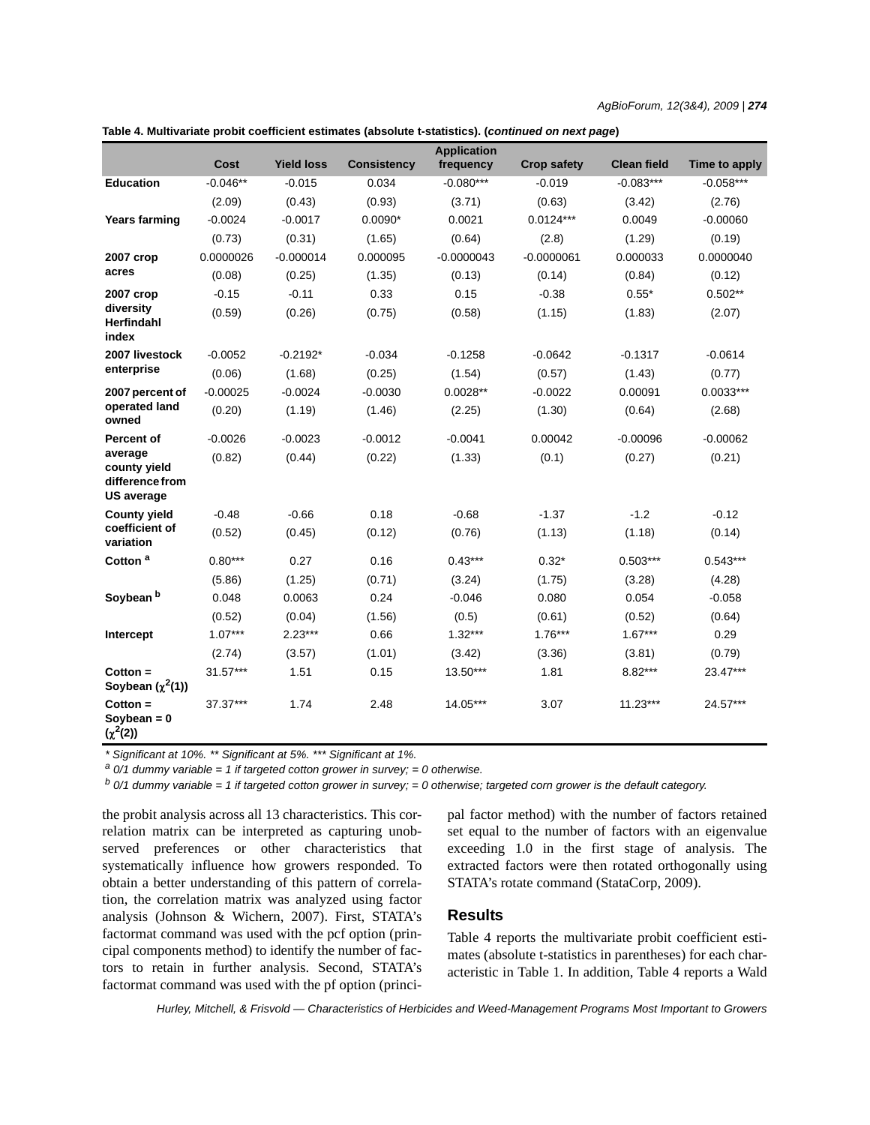| AgBioForum, 12(3&4), 2009   <b>274</b> |  |  |  |
|----------------------------------------|--|--|--|
|----------------------------------------|--|--|--|

|                                                                 |            |                   |                    | <b>Application</b> |                    |                    |               |
|-----------------------------------------------------------------|------------|-------------------|--------------------|--------------------|--------------------|--------------------|---------------|
|                                                                 | Cost       | <b>Yield loss</b> | <b>Consistency</b> | frequency          | <b>Crop safety</b> | <b>Clean field</b> | Time to apply |
| <b>Education</b>                                                | $-0.046**$ | $-0.015$          | 0.034              | $-0.080***$        | $-0.019$           | $-0.083***$        | $-0.058***$   |
|                                                                 | (2.09)     | (0.43)            | (0.93)             | (3.71)             | (0.63)             | (3.42)             | (2.76)        |
| <b>Years farming</b>                                            | $-0.0024$  | $-0.0017$         | $0.0090*$          | 0.0021             | $0.0124***$        | 0.0049             | $-0.00060$    |
|                                                                 | (0.73)     | (0.31)            | (1.65)             | (0.64)             | (2.8)              | (1.29)             | (0.19)        |
| 2007 crop                                                       | 0.0000026  | $-0.000014$       | 0.000095           | $-0.0000043$       | $-0.0000061$       | 0.000033           | 0.0000040     |
| acres                                                           | (0.08)     | (0.25)            | (1.35)             | (0.13)             | (0.14)             | (0.84)             | (0.12)        |
| 2007 crop                                                       | $-0.15$    | $-0.11$           | 0.33               | 0.15               | $-0.38$            | $0.55*$            | $0.502**$     |
| diversity<br><b>Herfindahl</b><br>index                         | (0.59)     | (0.26)            | (0.75)             | (0.58)             | (1.15)             | (1.83)             | (2.07)        |
| 2007 livestock                                                  | $-0.0052$  | $-0.2192*$        | $-0.034$           | $-0.1258$          | $-0.0642$          | $-0.1317$          | $-0.0614$     |
| enterprise                                                      | (0.06)     | (1.68)            | (0.25)             | (1.54)             | (0.57)             | (1.43)             | (0.77)        |
| 2007 percent of                                                 | $-0.00025$ | $-0.0024$         | $-0.0030$          | $0.0028**$         | $-0.0022$          | 0.00091            | $0.0033***$   |
| operated land<br>owned                                          | (0.20)     | (1.19)            | (1.46)             | (2.25)             | (1.30)             | (0.64)             | (2.68)        |
| Percent of                                                      | $-0.0026$  | $-0.0023$         | $-0.0012$          | $-0.0041$          | 0.00042            | $-0.00096$         | $-0.00062$    |
| average<br>county yield<br>difference from<br><b>US average</b> | (0.82)     | (0.44)            | (0.22)             | (1.33)             | (0.1)              | (0.27)             | (0.21)        |
| <b>County yield</b>                                             | $-0.48$    | $-0.66$           | 0.18               | $-0.68$            | $-1.37$            | $-1.2$             | $-0.12$       |
| coefficient of<br>variation                                     | (0.52)     | (0.45)            | (0.12)             | (0.76)             | (1.13)             | (1.18)             | (0.14)        |
| Cotton <sup>a</sup>                                             | $0.80***$  | 0.27              | 0.16               | $0.43***$          | $0.32*$            | $0.503***$         | $0.543***$    |
|                                                                 | (5.86)     | (1.25)            | (0.71)             | (3.24)             | (1.75)             | (3.28)             | (4.28)        |
| Soybean <sup>b</sup>                                            | 0.048      | 0.0063            | 0.24               | $-0.046$           | 0.080              | 0.054              | $-0.058$      |
|                                                                 | (0.52)     | (0.04)            | (1.56)             | (0.5)              | (0.61)             | (0.52)             | (0.64)        |
| Intercept                                                       | $1.07***$  | $2.23***$         | 0.66               | $1.32***$          | $1.76***$          | $1.67***$          | 0.29          |
|                                                                 | (2.74)     | (3.57)            | (1.01)             | (3.42)             | (3.36)             | (3.81)             | (0.79)        |
| $Cottom =$<br>Soybean $(\chi^2(1))$                             | $31.57***$ | 1.51              | 0.15               | 13.50***           | 1.81               | 8.82***            | 23.47***      |
| $Cottom =$<br>Soybean = $0$<br>$(\chi^2(2))$                    | 37.37***   | 1.74              | 2.48               | 14.05***           | 3.07               | $11.23***$         | 24.57***      |

| (continued on next peoplit coefficient estimates (absolute t-statistics). (continued on next page |  |  |  |
|---------------------------------------------------------------------------------------------------|--|--|--|
|---------------------------------------------------------------------------------------------------|--|--|--|

*\* Significant at 10%. \*\* Significant at 5%. \*\*\* Significant at 1%.*

*a 0/1 dummy variable = 1 if targeted cotton grower in survey; = 0 otherwise.*

*b 0/1 dummy variable = 1 if targeted cotton grower in survey; = 0 otherwise; targeted corn grower is the default category.*

the probit analysis across all 13 characteristics. This correlation matrix can be interpreted as capturing unobserved preferences or other characteristics that systematically influence how growers responded. To obtain a better understanding of this pattern of correlation, the correlation matrix was analyzed using factor analysis (Johnson & Wichern, 2007). First, STATA's factormat command was used with the pcf option (principal components method) to identify the number of factors to retain in further analysis. Second, STATA's factormat command was used with the pf option (principal factor method) with the number of factors retained set equal to the number of factors with an eigenvalue exceeding 1.0 in the first stage of analysis. The extracted factors were then rotated orthogonally using STATA's rotate command (StataCorp, 2009).

# **Results**

Table 4 reports the multivariate probit coefficient estimates (absolute t-statistics in parentheses) for each characteristic in Table 1. In addition, Table 4 reports a Wald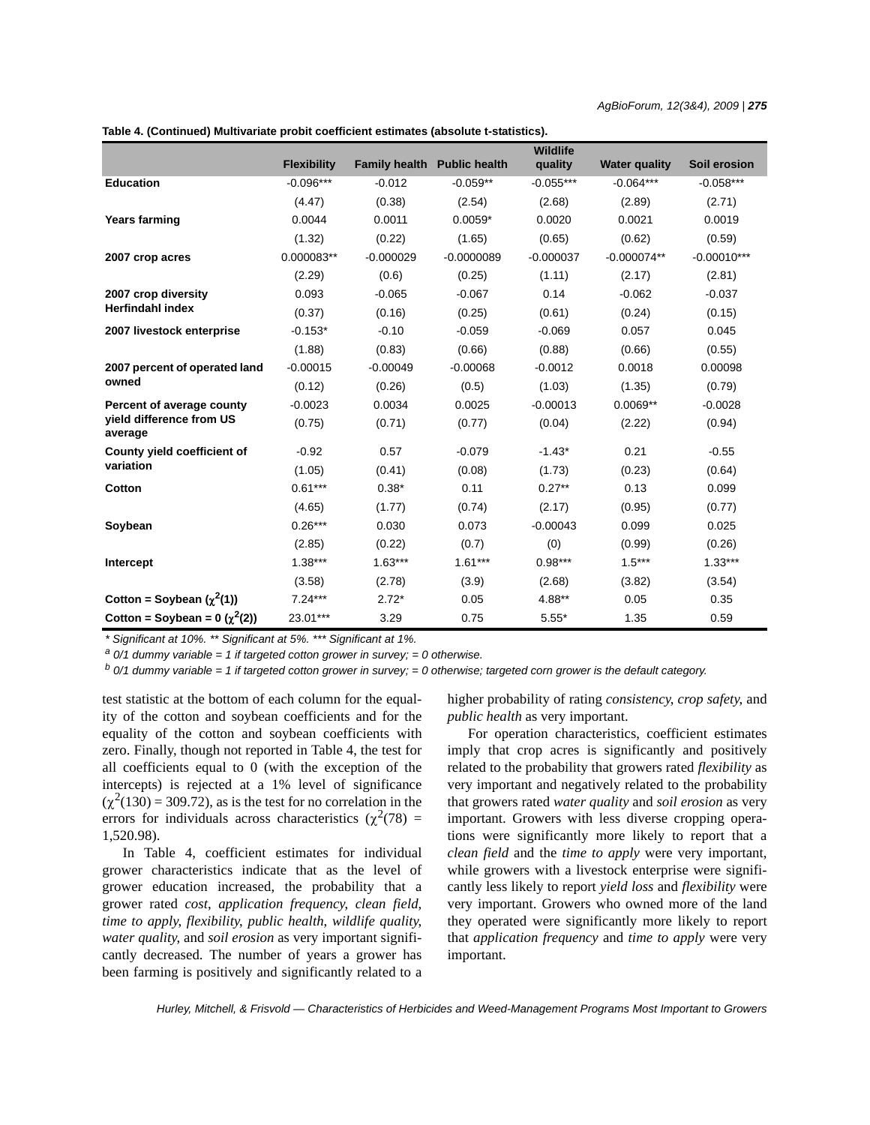*AgBioForum, 12(3&4), 2009 | 275*

**Table 4. (Continued) Multivariate probit coefficient estimates (absolute t-statistics).**

|                                     |                    |                             |              | Wildlife    |                      |               |
|-------------------------------------|--------------------|-----------------------------|--------------|-------------|----------------------|---------------|
|                                     | <b>Flexibility</b> | Family health Public health |              | quality     | <b>Water quality</b> | Soil erosion  |
| <b>Education</b>                    | $-0.096***$        | $-0.012$                    | $-0.059**$   | $-0.055***$ | $-0.064***$          | $-0.058***$   |
|                                     | (4.47)             | (0.38)                      | (2.54)       | (2.68)      | (2.89)               | (2.71)        |
| <b>Years farming</b>                | 0.0044             | 0.0011                      | $0.0059*$    | 0.0020      | 0.0021               | 0.0019        |
|                                     | (1.32)             | (0.22)                      | (1.65)       | (0.65)      | (0.62)               | (0.59)        |
| 2007 crop acres                     | 0.000083**         | $-0.000029$                 | $-0.0000089$ | $-0.000037$ | $-0.000074**$        | $-0.00010***$ |
|                                     | (2.29)             | (0.6)                       | (0.25)       | (1.11)      | (2.17)               | (2.81)        |
| 2007 crop diversity                 | 0.093              | $-0.065$                    | $-0.067$     | 0.14        | $-0.062$             | $-0.037$      |
| <b>Herfindahl index</b>             | (0.37)             | (0.16)                      | (0.25)       | (0.61)      | (0.24)               | (0.15)        |
| 2007 livestock enterprise           | $-0.153*$          | $-0.10$                     | $-0.059$     | $-0.069$    | 0.057                | 0.045         |
|                                     | (1.88)             | (0.83)                      | (0.66)       | (0.88)      | (0.66)               | (0.55)        |
| 2007 percent of operated land       | $-0.00015$         | $-0.00049$                  | $-0.00068$   | $-0.0012$   | 0.0018               | 0.00098       |
| owned                               | (0.12)             | (0.26)                      | (0.5)        | (1.03)      | (1.35)               | (0.79)        |
| Percent of average county           | $-0.0023$          | 0.0034                      | 0.0025       | $-0.00013$  | $0.0069**$           | $-0.0028$     |
| yield difference from US<br>average | (0.75)             | (0.71)                      | (0.77)       | (0.04)      | (2.22)               | (0.94)        |
| County yield coefficient of         | $-0.92$            | 0.57                        | $-0.079$     | $-1.43*$    | 0.21                 | $-0.55$       |
| variation                           | (1.05)             | (0.41)                      | (0.08)       | (1.73)      | (0.23)               | (0.64)        |
| Cotton                              | $0.61***$          | $0.38*$                     | 0.11         | $0.27**$    | 0.13                 | 0.099         |
|                                     | (4.65)             | (1.77)                      | (0.74)       | (2.17)      | (0.95)               | (0.77)        |
| Soybean                             | $0.26***$          | 0.030                       | 0.073        | $-0.00043$  | 0.099                | 0.025         |
|                                     | (2.85)             | (0.22)                      | (0.7)        | (0)         | (0.99)               | (0.26)        |
| Intercept                           | $1.38***$          | $1.63***$                   | $1.61***$    | $0.98***$   | $1.5***$             | $1.33***$     |
|                                     | (3.58)             | (2.78)                      | (3.9)        | (2.68)      | (3.82)               | (3.54)        |
| Cotton = Soybean $(\chi^2(1))$      | $7.24***$          | $2.72*$                     | 0.05         | 4.88**      | 0.05                 | 0.35          |
| Cotton = Soybean = $0 (x^2(2))$     | 23.01***           | 3.29                        | 0.75         | $5.55*$     | 1.35                 | 0.59          |

*\* Significant at 10%. \*\* Significant at 5%. \*\*\* Significant at 1%.*

*a 0/1 dummy variable = 1 if targeted cotton grower in survey; = 0 otherwise.*

*b 0/1 dummy variable = 1 if targeted cotton grower in survey; = 0 otherwise; targeted corn grower is the default category.*

test statistic at the bottom of each column for the equality of the cotton and soybean coefficients and for the equality of the cotton and soybean coefficients with zero. Finally, though not reported in Table 4, the test for all coefficients equal to 0 (with the exception of the intercepts) is rejected at a 1% level of significance  $(\chi^2(130) = 309.72)$ , as is the test for no correlation in the errors for individuals across characteristics ( $\chi^2$ (78) = 1,520.98).

In Table 4, coefficient estimates for individual grower characteristics indicate that as the level of grower education increased, the probability that a grower rated *cost*, *application frequency*, *clean field*, *time to apply*, *flexibility*, *public health*, *wildlife quality*, *water quality*, and *soil erosion* as very important significantly decreased. The number of years a grower has been farming is positively and significantly related to a higher probability of rating *consistency*, *crop safety*, and *public health* as very important.

For operation characteristics, coefficient estimates imply that crop acres is significantly and positively related to the probability that growers rated *flexibility* as very important and negatively related to the probability that growers rated *water quality* and *soil erosion* as very important. Growers with less diverse cropping operations were significantly more likely to report that a *clean field* and the *time to apply* were very important, while growers with a livestock enterprise were significantly less likely to report *yield loss* and *flexibility* were very important. Growers who owned more of the land they operated were significantly more likely to report that *application frequency* and *time to apply* were very important.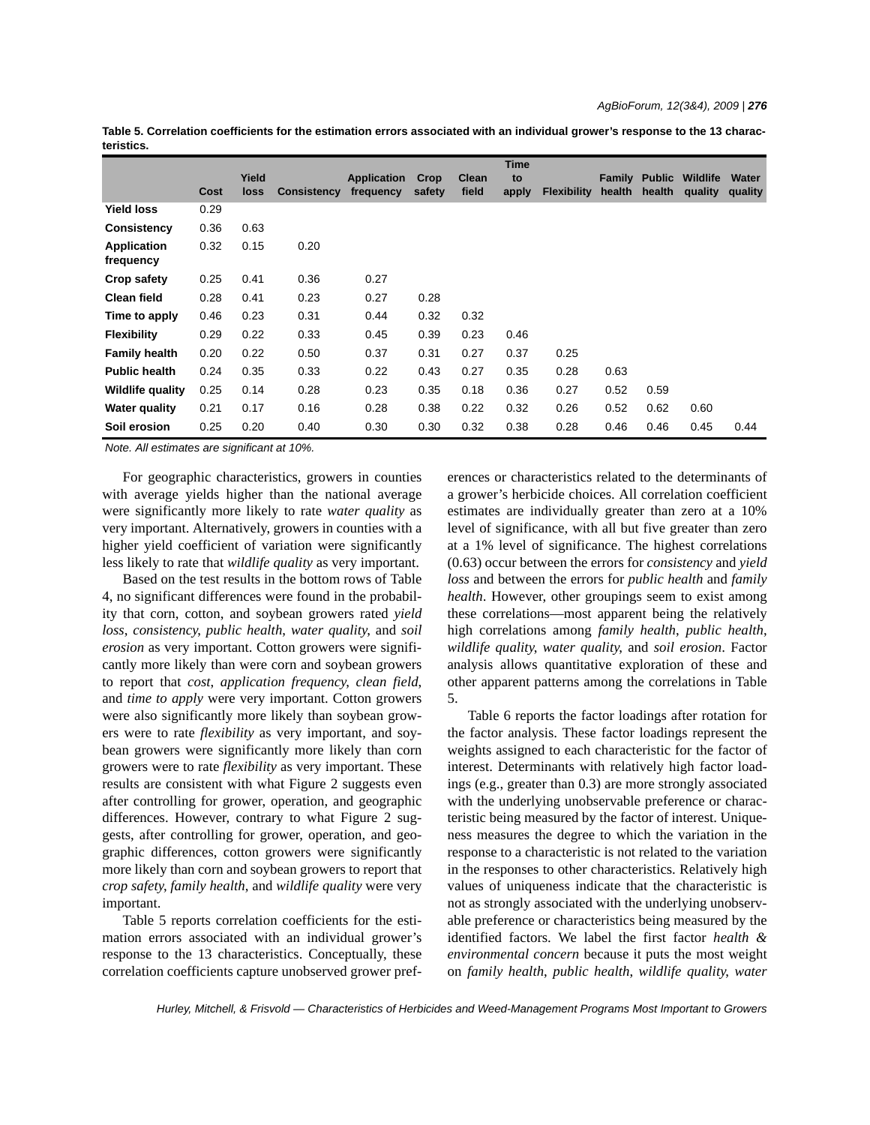|            | Table 5. Correlation coefficients for the estimation errors associated with an individual grower's response to the 13 charac- |  |  |
|------------|-------------------------------------------------------------------------------------------------------------------------------|--|--|
| teristics. |                                                                                                                               |  |  |

|                                 |      |               |                    |                                 |                |                | <b>Time</b> |                    |        |                                |                            |                  |
|---------------------------------|------|---------------|--------------------|---------------------------------|----------------|----------------|-------------|--------------------|--------|--------------------------------|----------------------------|------------------|
|                                 | Cost | Yield<br>loss | <b>Consistency</b> | <b>Application</b><br>frequency | Crop<br>safety | Clean<br>field | to<br>apply | <b>Flexibility</b> | health | <b>Family Public</b><br>health | <b>Wildlife</b><br>quality | Water<br>quality |
| <b>Yield loss</b>               | 0.29 |               |                    |                                 |                |                |             |                    |        |                                |                            |                  |
| Consistency                     | 0.36 | 0.63          |                    |                                 |                |                |             |                    |        |                                |                            |                  |
| <b>Application</b><br>frequency | 0.32 | 0.15          | 0.20               |                                 |                |                |             |                    |        |                                |                            |                  |
| Crop safety                     | 0.25 | 0.41          | 0.36               | 0.27                            |                |                |             |                    |        |                                |                            |                  |
| <b>Clean field</b>              | 0.28 | 0.41          | 0.23               | 0.27                            | 0.28           |                |             |                    |        |                                |                            |                  |
| Time to apply                   | 0.46 | 0.23          | 0.31               | 0.44                            | 0.32           | 0.32           |             |                    |        |                                |                            |                  |
| <b>Flexibility</b>              | 0.29 | 0.22          | 0.33               | 0.45                            | 0.39           | 0.23           | 0.46        |                    |        |                                |                            |                  |
| <b>Family health</b>            | 0.20 | 0.22          | 0.50               | 0.37                            | 0.31           | 0.27           | 0.37        | 0.25               |        |                                |                            |                  |
| <b>Public health</b>            | 0.24 | 0.35          | 0.33               | 0.22                            | 0.43           | 0.27           | 0.35        | 0.28               | 0.63   |                                |                            |                  |
| <b>Wildlife quality</b>         | 0.25 | 0.14          | 0.28               | 0.23                            | 0.35           | 0.18           | 0.36        | 0.27               | 0.52   | 0.59                           |                            |                  |
| <b>Water quality</b>            | 0.21 | 0.17          | 0.16               | 0.28                            | 0.38           | 0.22           | 0.32        | 0.26               | 0.52   | 0.62                           | 0.60                       |                  |
| Soil erosion                    | 0.25 | 0.20          | 0.40               | 0.30                            | 0.30           | 0.32           | 0.38        | 0.28               | 0.46   | 0.46                           | 0.45                       | 0.44             |

*Note. All estimates are significant at 10%.*

For geographic characteristics, growers in counties with average yields higher than the national average were significantly more likely to rate *water quality* as very important. Alternatively, growers in counties with a higher yield coefficient of variation were significantly less likely to rate that *wildlife quality* as very important.

Based on the test results in the bottom rows of Table 4, no significant differences were found in the probability that corn, cotton, and soybean growers rated *yield loss*, *consistency*, *public health*, *water quality*, and *soil erosion* as very important. Cotton growers were significantly more likely than were corn and soybean growers to report that *cost*, *application frequency*, *clean field*, and *time to apply* were very important. Cotton growers were also significantly more likely than soybean growers were to rate *flexibility* as very important, and soybean growers were significantly more likely than corn growers were to rate *flexibility* as very important. These results are consistent with what Figure 2 suggests even after controlling for grower, operation, and geographic differences. However, contrary to what Figure 2 suggests, after controlling for grower, operation, and geographic differences, cotton growers were significantly more likely than corn and soybean growers to report that *crop safety*, *family health*, and *wildlife quality* were very important.

Table 5 reports correlation coefficients for the estimation errors associated with an individual grower's response to the 13 characteristics. Conceptually, these correlation coefficients capture unobserved grower preferences or characteristics related to the determinants of a grower's herbicide choices. All correlation coefficient estimates are individually greater than zero at a 10% level of significance, with all but five greater than zero at a 1% level of significance. The highest correlations (0.63) occur between the errors for *consistency* and *yield loss* and between the errors for *public health* and *family health*. However, other groupings seem to exist among these correlations—most apparent being the relatively high correlations among *family health*, *public health*, *wildlife quality*, *water quality*, and *soil erosion*. Factor analysis allows quantitative exploration of these and other apparent patterns among the correlations in Table 5.

Table 6 reports the factor loadings after rotation for the factor analysis. These factor loadings represent the weights assigned to each characteristic for the factor of interest. Determinants with relatively high factor loadings (e.g., greater than 0.3) are more strongly associated with the underlying unobservable preference or characteristic being measured by the factor of interest. Uniqueness measures the degree to which the variation in the response to a characteristic is not related to the variation in the responses to other characteristics. Relatively high values of uniqueness indicate that the characteristic is not as strongly associated with the underlying unobservable preference or characteristics being measured by the identified factors. We label the first factor *health & environmental concern* because it puts the most weight on *family health*, *public health*, *wildlife quality*, *water*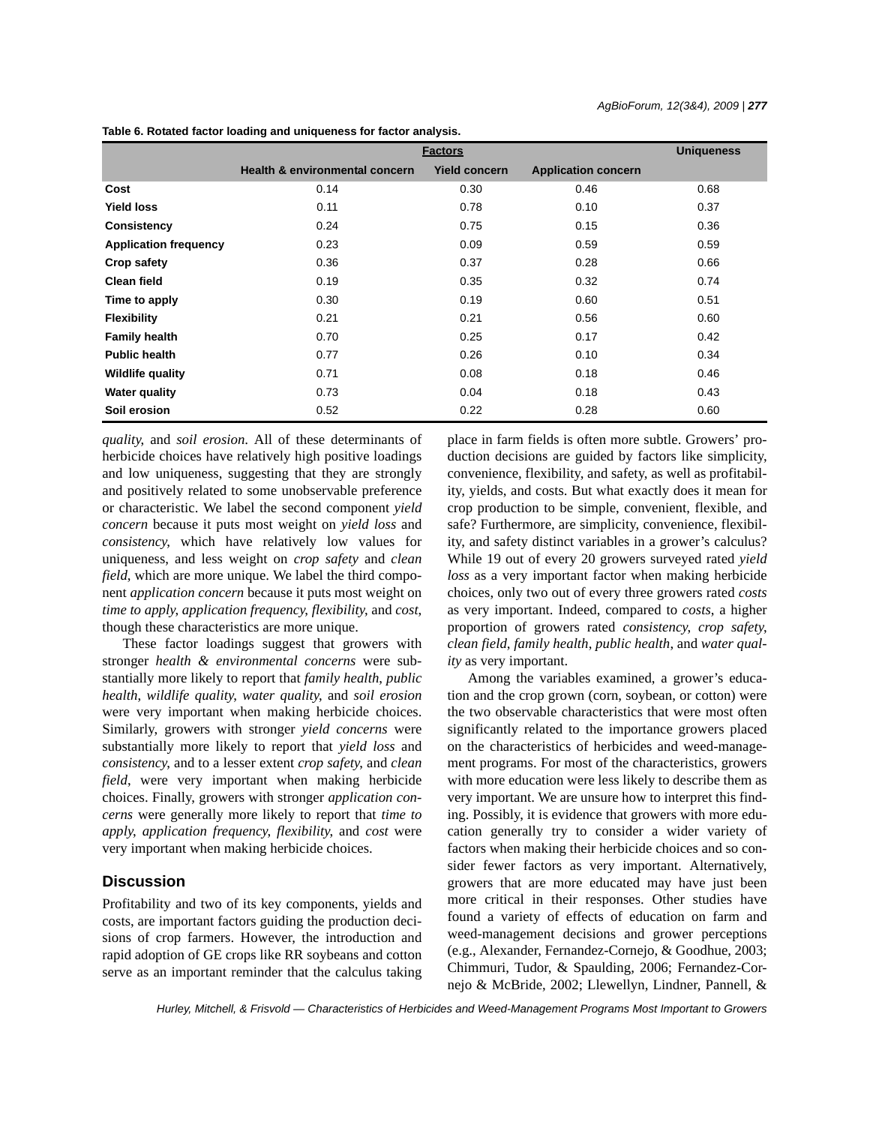|                              | <b>Factors</b>                            |                      | <b>Uniqueness</b>          |      |
|------------------------------|-------------------------------------------|----------------------|----------------------------|------|
|                              | <b>Health &amp; environmental concern</b> | <b>Yield concern</b> | <b>Application concern</b> |      |
| Cost                         | 0.14                                      | 0.30                 | 0.46                       | 0.68 |
| <b>Yield loss</b>            | 0.11                                      | 0.78                 | 0.10                       | 0.37 |
| Consistency                  | 0.24                                      | 0.75                 | 0.15                       | 0.36 |
| <b>Application frequency</b> | 0.23                                      | 0.09                 | 0.59                       | 0.59 |
| <b>Crop safety</b>           | 0.36                                      | 0.37                 | 0.28                       | 0.66 |
| <b>Clean field</b>           | 0.19                                      | 0.35                 | 0.32                       | 0.74 |
| Time to apply                | 0.30                                      | 0.19                 | 0.60                       | 0.51 |
| <b>Flexibility</b>           | 0.21                                      | 0.21                 | 0.56                       | 0.60 |
| <b>Family health</b>         | 0.70                                      | 0.25                 | 0.17                       | 0.42 |
| <b>Public health</b>         | 0.77                                      | 0.26                 | 0.10                       | 0.34 |
| <b>Wildlife quality</b>      | 0.71                                      | 0.08                 | 0.18                       | 0.46 |
| <b>Water quality</b>         | 0.73                                      | 0.04                 | 0.18                       | 0.43 |
| Soil erosion                 | 0.52                                      | 0.22                 | 0.28                       | 0.60 |

**Table 6. Rotated factor loading and uniqueness for factor analysis.**

*quality*, and *soil erosion*. All of these determinants of herbicide choices have relatively high positive loadings and low uniqueness, suggesting that they are strongly and positively related to some unobservable preference or characteristic. We label the second component *yield concern* because it puts most weight on *yield loss* and *consistency*, which have relatively low values for uniqueness, and less weight on *crop safety* and *clean field*, which are more unique. We label the third component *application concern* because it puts most weight on *time to apply*, *application frequency*, *flexibility*, and *cost*, though these characteristics are more unique.

These factor loadings suggest that growers with stronger *health & environmental concerns* were substantially more likely to report that *family health*, *public health*, *wildlife quality*, *water quality*, and *soil erosion* were very important when making herbicide choices. Similarly, growers with stronger *yield concerns* were substantially more likely to report that *yield loss* and *consistency*, and to a lesser extent *crop safety*, and *clean field*, were very important when making herbicide choices. Finally, growers with stronger *application concerns* were generally more likely to report that *time to apply*, *application frequency*, *flexibility*, and *cost* were very important when making herbicide choices.

# **Discussion**

Profitability and two of its key components, yields and costs, are important factors guiding the production decisions of crop farmers. However, the introduction and rapid adoption of GE crops like RR soybeans and cotton serve as an important reminder that the calculus taking place in farm fields is often more subtle. Growers' production decisions are guided by factors like simplicity, convenience, flexibility, and safety, as well as profitability, yields, and costs. But what exactly does it mean for crop production to be simple, convenient, flexible, and safe? Furthermore, are simplicity, convenience, flexibility, and safety distinct variables in a grower's calculus? While 19 out of every 20 growers surveyed rated *yield loss* as a very important factor when making herbicide choices, only two out of every three growers rated *costs* as very important. Indeed, compared to *costs*, a higher proportion of growers rated *consistency*, *crop safety*, *clean field*, *family health*, *public health*, and *water quality* as very important.

Among the variables examined, a grower's education and the crop grown (corn, soybean, or cotton) were the two observable characteristics that were most often significantly related to the importance growers placed on the characteristics of herbicides and weed-management programs. For most of the characteristics, growers with more education were less likely to describe them as very important. We are unsure how to interpret this finding. Possibly, it is evidence that growers with more education generally try to consider a wider variety of factors when making their herbicide choices and so consider fewer factors as very important. Alternatively, growers that are more educated may have just been more critical in their responses. Other studies have found a variety of effects of education on farm and weed-management decisions and grower perceptions (e.g., Alexander, Fernandez-Cornejo, & Goodhue, 2003; Chimmuri, Tudor, & Spaulding, 2006; Fernandez-Cornejo & McBride, 2002; Llewellyn, Lindner, Pannell, &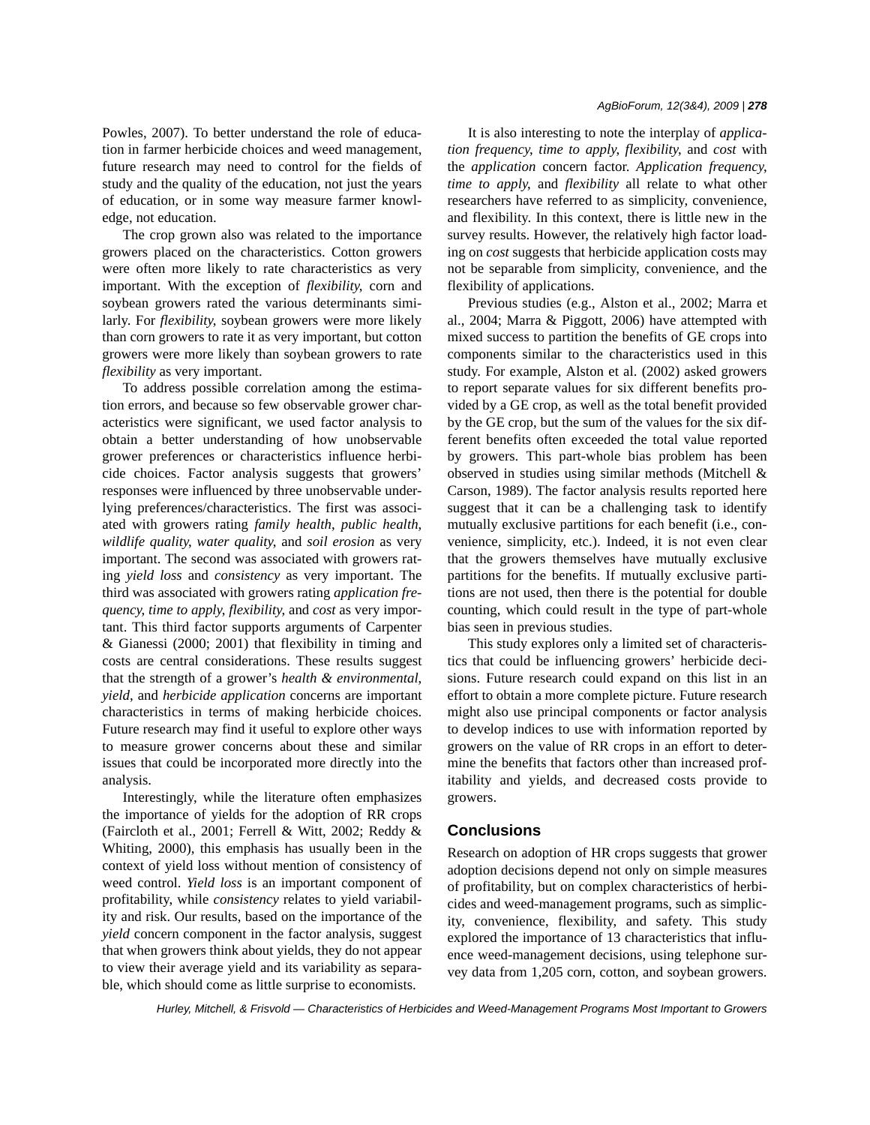Powles, 2007). To better understand the role of education in farmer herbicide choices and weed management, future research may need to control for the fields of study and the quality of the education, not just the years of education, or in some way measure farmer knowledge, not education.

The crop grown also was related to the importance growers placed on the characteristics. Cotton growers were often more likely to rate characteristics as very important. With the exception of *flexibility*, corn and soybean growers rated the various determinants similarly. For *flexibility*, soybean growers were more likely than corn growers to rate it as very important, but cotton growers were more likely than soybean growers to rate *flexibility* as very important.

To address possible correlation among the estimation errors, and because so few observable grower characteristics were significant, we used factor analysis to obtain a better understanding of how unobservable grower preferences or characteristics influence herbicide choices. Factor analysis suggests that growers' responses were influenced by three unobservable underlying preferences/characteristics. The first was associated with growers rating *family health*, *public health*, *wildlife quality*, *water quality*, and *soil erosion* as very important. The second was associated with growers rating *yield loss* and *consistency* as very important. The third was associated with growers rating *application frequency*, *time to apply*, *flexibility*, and *cost* as very important. This third factor supports arguments of Carpenter & Gianessi (2000; 2001) that flexibility in timing and costs are central considerations. These results suggest that the strength of a grower's *health & environmental*, *yield*, and *herbicide application* concerns are important characteristics in terms of making herbicide choices. Future research may find it useful to explore other ways to measure grower concerns about these and similar issues that could be incorporated more directly into the analysis.

Interestingly, while the literature often emphasizes the importance of yields for the adoption of RR crops (Faircloth et al., 2001; Ferrell & Witt, 2002; Reddy & Whiting, 2000), this emphasis has usually been in the context of yield loss without mention of consistency of weed control. *Yield loss* is an important component of profitability, while *consistency* relates to yield variability and risk. Our results, based on the importance of the *yield* concern component in the factor analysis, suggest that when growers think about yields, they do not appear to view their average yield and its variability as separable, which should come as little surprise to economists.

It is also interesting to note the interplay of *application frequency*, *time to apply*, *flexibility*, and *cost* with the *application* concern factor. *Application frequency*, *time to apply*, and *flexibility* all relate to what other researchers have referred to as simplicity, convenience, and flexibility. In this context, there is little new in the survey results. However, the relatively high factor loading on *cost* suggests that herbicide application costs may not be separable from simplicity, convenience, and the flexibility of applications.

Previous studies (e.g., Alston et al., 2002; Marra et al., 2004; Marra & Piggott, 2006) have attempted with mixed success to partition the benefits of GE crops into components similar to the characteristics used in this study. For example, Alston et al. (2002) asked growers to report separate values for six different benefits provided by a GE crop, as well as the total benefit provided by the GE crop, but the sum of the values for the six different benefits often exceeded the total value reported by growers. This part-whole bias problem has been observed in studies using similar methods (Mitchell & Carson, 1989). The factor analysis results reported here suggest that it can be a challenging task to identify mutually exclusive partitions for each benefit (i.e., convenience, simplicity, etc.). Indeed, it is not even clear that the growers themselves have mutually exclusive partitions for the benefits. If mutually exclusive partitions are not used, then there is the potential for double counting, which could result in the type of part-whole bias seen in previous studies.

This study explores only a limited set of characteristics that could be influencing growers' herbicide decisions. Future research could expand on this list in an effort to obtain a more complete picture. Future research might also use principal components or factor analysis to develop indices to use with information reported by growers on the value of RR crops in an effort to determine the benefits that factors other than increased profitability and yields, and decreased costs provide to growers.

#### **Conclusions**

Research on adoption of HR crops suggests that grower adoption decisions depend not only on simple measures of profitability, but on complex characteristics of herbicides and weed-management programs, such as simplicity, convenience, flexibility, and safety. This study explored the importance of 13 characteristics that influence weed-management decisions, using telephone survey data from 1,205 corn, cotton, and soybean growers.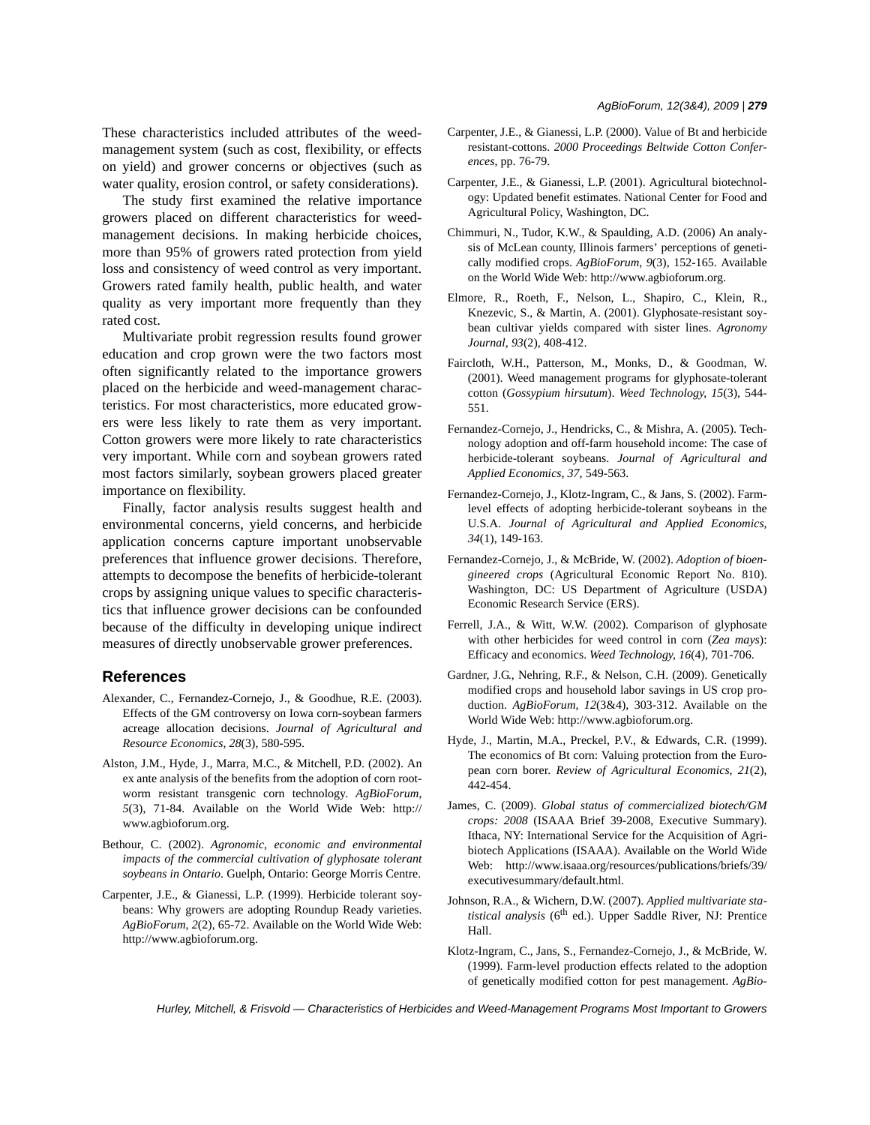These characteristics included attributes of the weedmanagement system (such as cost, flexibility, or effects on yield) and grower concerns or objectives (such as water quality, erosion control, or safety considerations).

The study first examined the relative importance growers placed on different characteristics for weedmanagement decisions. In making herbicide choices, more than 95% of growers rated protection from yield loss and consistency of weed control as very important. Growers rated family health, public health, and water quality as very important more frequently than they rated cost.

Multivariate probit regression results found grower education and crop grown were the two factors most often significantly related to the importance growers placed on the herbicide and weed-management characteristics. For most characteristics, more educated growers were less likely to rate them as very important. Cotton growers were more likely to rate characteristics very important. While corn and soybean growers rated most factors similarly, soybean growers placed greater importance on flexibility.

Finally, factor analysis results suggest health and environmental concerns, yield concerns, and herbicide application concerns capture important unobservable preferences that influence grower decisions. Therefore, attempts to decompose the benefits of herbicide-tolerant crops by assigning unique values to specific characteristics that influence grower decisions can be confounded because of the difficulty in developing unique indirect measures of directly unobservable grower preferences.

### **References**

- Alexander, C., Fernandez-Cornejo, J., & Goodhue, R.E. (2003). Effects of the GM controversy on Iowa corn-soybean farmers acreage allocation decisions. *Journal of Agricultural and Resource Economics*, *28*(3), 580-595.
- Alston, J.M., Hyde, J., Marra, M.C., & Mitchell, P.D. (2002). An ex ante analysis of the benefits from the adoption of corn rootworm resistant transgenic corn technology. *AgBioForum*, *5*(3), 71-84. Available on the World Wide Web: http:// www.agbioforum.org.
- Bethour, C. (2002). *Agronomic, economic and environmental impacts of the commercial cultivation of glyphosate tolerant soybeans in Ontario*. Guelph, Ontario: George Morris Centre.
- Carpenter, J.E., & Gianessi, L.P. (1999). Herbicide tolerant soybeans: Why growers are adopting Roundup Ready varieties. *AgBioForum*, *2*(2), 65-72. Available on the World Wide Web: http://www.agbioforum.org.
- Carpenter, J.E., & Gianessi, L.P. (2000). Value of Bt and herbicide resistant-cottons. *2000 Proceedings Beltwide Cotton Conferences*, pp. 76-79.
- Carpenter, J.E., & Gianessi, L.P. (2001). Agricultural biotechnology: Updated benefit estimates. National Center for Food and Agricultural Policy, Washington, DC.
- Chimmuri, N., Tudor, K.W., & Spaulding, A.D. (2006) An analysis of McLean county, Illinois farmers' perceptions of genetically modified crops. *AgBioForum*, *9*(3), 152-165. Available on the World Wide Web: http://www.agbioforum.org.
- Elmore, R., Roeth, F., Nelson, L., Shapiro, C., Klein, R., Knezevic, S., & Martin, A. (2001). Glyphosate-resistant soybean cultivar yields compared with sister lines. *Agronomy Journal*, *93*(2), 408-412.
- Faircloth, W.H., Patterson, M., Monks, D., & Goodman, W. (2001). Weed management programs for glyphosate-tolerant cotton (*Gossypium hirsutum*). *Weed Technology*, *15*(3), 544- 551.
- Fernandez-Cornejo, J., Hendricks, C., & Mishra, A. (2005). Technology adoption and off-farm household income: The case of herbicide-tolerant soybeans. *Journal of Agricultural and Applied Economics*, *37*, 549-563.
- Fernandez-Cornejo, J., Klotz-Ingram, C., & Jans, S. (2002). Farmlevel effects of adopting herbicide-tolerant soybeans in the U.S.A. *Journal of Agricultural and Applied Economics*, *34*(1), 149-163.
- Fernandez-Cornejo, J., & McBride, W. (2002). *Adoption of bioengineered crops* (Agricultural Economic Report No. 810). Washington, DC: US Department of Agriculture (USDA) Economic Research Service (ERS).
- Ferrell, J.A., & Witt, W.W. (2002). Comparison of glyphosate with other herbicides for weed control in corn (*Zea mays*): Efficacy and economics. *Weed Technology*, *16*(4), 701-706.
- Gardner, J.G., Nehring, R.F., & Nelson, C.H. (2009). Genetically modified crops and household labor savings in US crop production. *AgBioForum*, *12*(3&4), 303-312. Available on the World Wide Web: http://www.agbioforum.org.
- Hyde, J., Martin, M.A., Preckel, P.V., & Edwards, C.R. (1999). The economics of Bt corn: Valuing protection from the European corn borer. *Review of Agricultural Economics*, *21*(2), 442-454.
- James, C. (2009). *Global status of commercialized biotech/GM crops: 2008* (ISAAA Brief 39-2008, Executive Summary). Ithaca, NY: International Service for the Acquisition of Agribiotech Applications (ISAAA). Available on the World Wide Web: http://www.isaaa.org/resources/publications/briefs/39/ executivesummary/default.html.
- Johnson, R.A., & Wichern, D.W. (2007). *Applied multivariate statistical analysis* (6<sup>th</sup> ed.). Upper Saddle River, NJ: Prentice Hall.
- Klotz-Ingram, C., Jans, S., Fernandez-Cornejo, J., & McBride, W. (1999). Farm-level production effects related to the adoption of genetically modified cotton for pest management. *AgBio-*